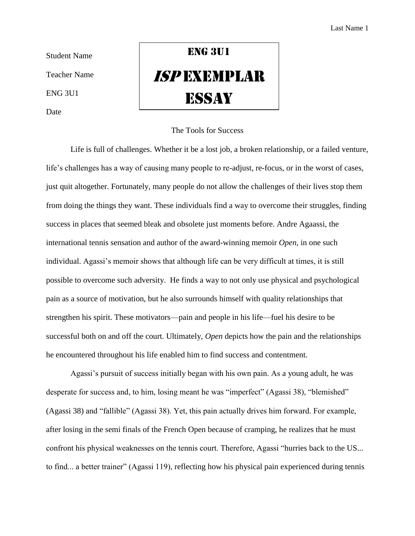Student Name

Teacher Name

ENG 3U1

Date

## ENG 3U1 ISP Exemplar **ESSAY**

## The Tools for Success

Life is full of challenges. Whether it be a lost job, a broken relationship, or a failed venture, life's challenges has a way of causing many people to re-adjust, re-focus, or in the worst of cases, just quit altogether. Fortunately, many people do not allow the challenges of their lives stop them from doing the things they want. These individuals find a way to overcome their struggles, finding success in places that seemed bleak and obsolete just moments before. Andre Agaassi, the international tennis sensation and author of the award-winning memoir *Open*, in one such individual. Agassi's memoir shows that although life can be very difficult at times, it is still possible to overcome such adversity. He finds a way to not only use physical and psychological pain as a source of motivation, but he also surrounds himself with quality relationships that strengthen his spirit. These motivators—pain and people in his life—fuel his desire to be successful both on and off the court. Ultimately, *Open* depicts how the pain and the relationships he encountered throughout his life enabled him to find success and contentment.

Agassi's pursuit of success initially began with his own pain. As a young adult, he was desperate for success and, to him, losing meant he was "imperfect" (Agassi 38), "blemished" (Agassi 38) and "fallible" (Agassi 38). Yet, this pain actually drives him forward. For example, after losing in the semi finals of the French Open because of cramping, he realizes that he must confront his physical weaknesses on the tennis court. Therefore, Agassi "hurries back to the US... to find... a better trainer" (Agassi 119), reflecting how his physical pain experienced during tennis